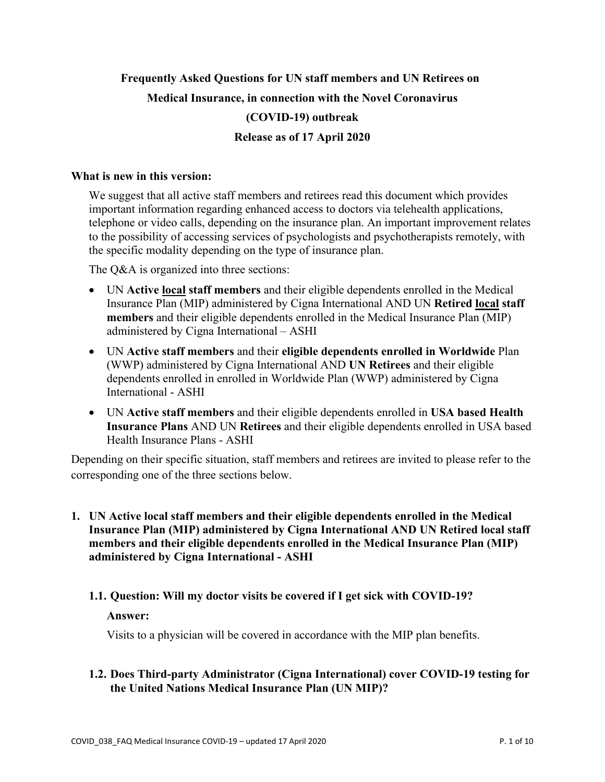# **Frequently Asked Questions for UN staff members and UN Retirees on Medical Insurance, in connection with the Novel Coronavirus (COVID-19) outbreak Release as of 17 April 2020**

# **What is new in this version:**

We suggest that all active staff members and retirees read this document which provides important information regarding enhanced access to doctors via telehealth applications, telephone or video calls, depending on the insurance plan. An important improvement relates to the possibility of accessing services of psychologists and psychotherapists remotely, with the specific modality depending on the type of insurance plan.

The O&A is organized into three sections:

- UN **Active local staff members** and their eligible dependents enrolled in the Medical Insurance Plan (MIP) administered by Cigna International AND UN **Retired local staff members** and their eligible dependents enrolled in the Medical Insurance Plan (MIP) administered by Cigna International – ASHI
- UN **Active staff members** and their **eligible dependents enrolled in Worldwide** Plan (WWP) administered by Cigna International AND **UN Retirees** and their eligible dependents enrolled in enrolled in Worldwide Plan (WWP) administered by Cigna International - ASHI
- UN **Active staff members** and their eligible dependents enrolled in **USA based Health Insurance Plans** AND UN **Retirees** and their eligible dependents enrolled in USA based Health Insurance Plans - ASHI

Depending on their specific situation, staff members and retirees are invited to please refer to the corresponding one of the three sections below.

**1. UN Active local staff members and their eligible dependents enrolled in the Medical Insurance Plan (MIP) administered by Cigna International AND UN Retired local staff members and their eligible dependents enrolled in the Medical Insurance Plan (MIP) administered by Cigna International - ASHI** 

### **1.1. Question: Will my doctor visits be covered if I get sick with COVID-19?**

#### **Answer:**

Visits to a physician will be covered in accordance with the MIP plan benefits.

### **1.2. Does Third-party Administrator (Cigna International) cover COVID-19 testing for the United Nations Medical Insurance Plan (UN MIP)?**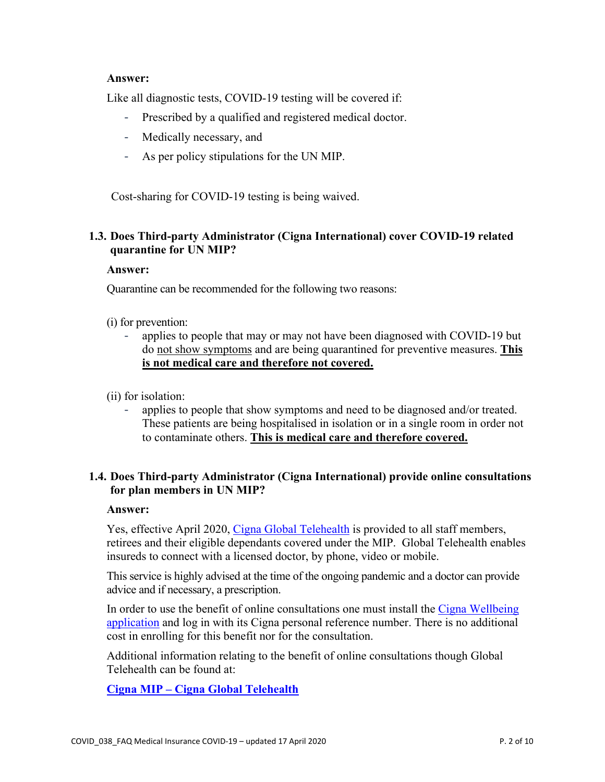### **Answer:**

Like all diagnostic tests, COVID-19 testing will be covered if:

- Prescribed by a qualified and registered medical doctor.
- Medically necessary, and
- As per policy stipulations for the UN MIP.

Cost-sharing for COVID-19 testing is being waived.

# **1.3. Does Third-party Administrator (Cigna International) cover COVID-19 related quarantine for UN MIP?**

#### **Answer:**

Quarantine can be recommended for the following two reasons:

- (i) for prevention:
	- applies to people that may or may not have been diagnosed with COVID-19 but do not show symptoms and are being quarantined for preventive measures. **This is not medical care and therefore not covered.**
- (ii) for isolation:
	- applies to people that show symptoms and need to be diagnosed and/or treated. These patients are being hospitalised in isolation or in a single room in order not to contaminate others. **This is medical care and therefore covered.**

# **1.4. Does Third-party Administrator (Cigna International) provide online consultations for plan members in UN MIP?**

#### **Answer:**

Yes, effective April 2020, [Cigna Global Telehealth](https://vimeo.com/369268192) is provided to all staff members, retirees and their eligible dependants covered under the MIP. Global Telehealth enables insureds to connect with a licensed doctor, by phone, video or mobile.

This service is highly advised at the time of the ongoing pandemic and a doctor can provide advice and if necessary, a prescription.

In order to use the benefit of online consultations one must install the [Cigna Wellbeing](https://www.securemediaresource.com/sites/default/files/590772_EN_Cigna_apps_plan_member_V2.pdf)  [application](https://www.securemediaresource.com/sites/default/files/590772_EN_Cigna_apps_plan_member_V2.pdf) and log in with its Cigna personal reference number. There is no additional cost in enrolling for this benefit nor for the consultation.

Additional information relating to the benefit of online consultations though Global Telehealth can be found at:

**Cigna MIP – [Cigna Global Telehealth](https://www.cignahealthbenefits.com/en/plan-members)**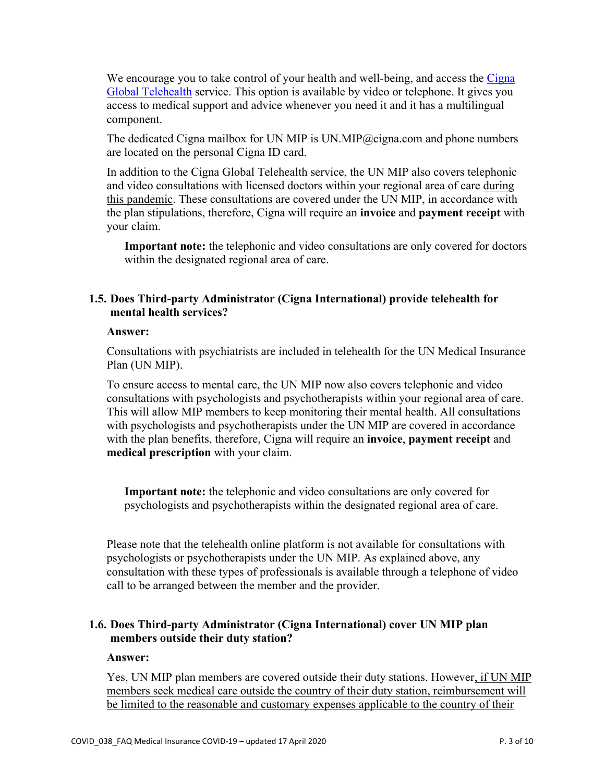We encourage you to take control of your health and well-being, and access the Cigna [Global Telehealth](https://www.securemediaresource.com/sites/default/files/Public/Email/Telehealth_member_EN_web_0.pdf) service. This option is available by video or telephone. It gives you access to medical support and advice whenever you need it and it has a multilingual component.

The dedicated Cigna mailbox for UN MIP is UN.MIP@cigna.com and phone numbers are located on the personal Cigna ID card.

In addition to the Cigna Global Telehealth service, the UN MIP also covers telephonic and video consultations with licensed doctors within your regional area of care during this pandemic. These consultations are covered under the UN MIP, in accordance with the plan stipulations, therefore, Cigna will require an **invoice** and **payment receipt** with your claim.

**Important note:** the telephonic and video consultations are only covered for doctors within the designated regional area of care.

# **1.5. Does Third-party Administrator (Cigna International) provide telehealth for mental health services?**

### **Answer:**

Consultations with psychiatrists are included in telehealth for the UN Medical Insurance Plan (UN MIP).

To ensure access to mental care, the UN MIP now also covers telephonic and video consultations with psychologists and psychotherapists within your regional area of care. This will allow MIP members to keep monitoring their mental health. All consultations with psychologists and psychotherapists under the UN MIP are covered in accordance with the plan benefits, therefore, Cigna will require an **invoice**, **payment receipt** and **medical prescription** with your claim.

**Important note:** the telephonic and video consultations are only covered for psychologists and psychotherapists within the designated regional area of care.

Please note that the telehealth online platform is not available for consultations with psychologists or psychotherapists under the UN MIP. As explained above, any consultation with these types of professionals is available through a telephone of video call to be arranged between the member and the provider.

# **1.6. Does Third-party Administrator (Cigna International) cover UN MIP plan members outside their duty station?**

#### **Answer:**

Yes, UN MIP plan members are covered outside their duty stations. However, if UN MIP members seek medical care outside the country of their duty station, reimbursement will be limited to the reasonable and customary expenses applicable to the country of their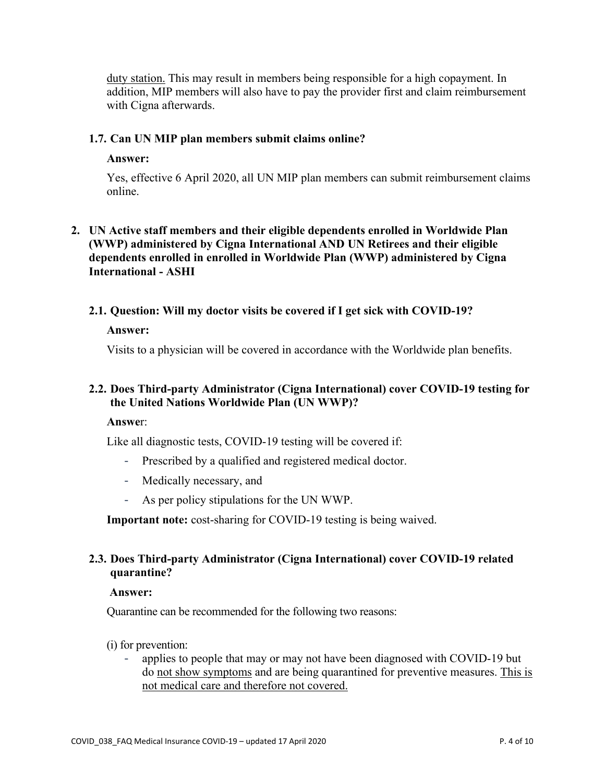duty station. This may result in members being responsible for a high copayment. In addition, MIP members will also have to pay the provider first and claim reimbursement with Cigna afterwards.

### **1.7. Can UN MIP plan members submit claims online?**

#### **Answer:**

Yes, effective 6 April 2020, all UN MIP plan members can submit reimbursement claims online.

# **2. UN Active staff members and their eligible dependents enrolled in Worldwide Plan (WWP) administered by Cigna International AND UN Retirees and their eligible dependents enrolled in enrolled in Worldwide Plan (WWP) administered by Cigna International - ASHI**

**2.1. Question: Will my doctor visits be covered if I get sick with COVID-19?**

### **Answer:**

Visits to a physician will be covered in accordance with the Worldwide plan benefits.

# **2.2. Does Third-party Administrator (Cigna International) cover COVID-19 testing for the United Nations Worldwide Plan (UN WWP)?**

### **Answe**r:

Like all diagnostic tests, COVID-19 testing will be covered if:

- Prescribed by a qualified and registered medical doctor.
- Medically necessary, and
- As per policy stipulations for the UN WWP.

**Important note:** cost-sharing for COVID-19 testing is being waived.

# **2.3. Does Third-party Administrator (Cigna International) cover COVID-19 related quarantine?**

#### **Answer:**

Quarantine can be recommended for the following two reasons:

#### (i) for prevention:

- applies to people that may or may not have been diagnosed with COVID-19 but do not show symptoms and are being quarantined for preventive measures. This is not medical care and therefore not covered.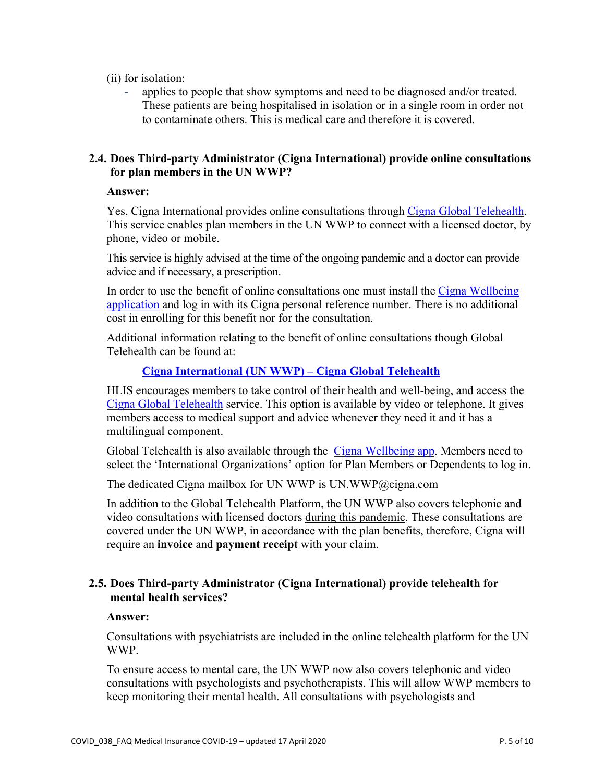(ii) for isolation:

applies to people that show symptoms and need to be diagnosed and/or treated. These patients are being hospitalised in isolation or in a single room in order not to contaminate others. This is medical care and therefore it is covered.

### **2.4. Does Third-party Administrator (Cigna International) provide online consultations for plan members in the UN WWP?**

### **Answer:**

Yes, Cigna International provides online consultations through [Cigna Global Telehealth.](https://vimeo.com/369268192) This service enables plan members in the UN WWP to connect with a licensed doctor, by phone, video or mobile.

This service is highly advised at the time of the ongoing pandemic and a doctor can provide advice and if necessary, a prescription.

In order to use the benefit of online consultations one must install the [Cigna Wellbeing](https://www.securemediaresource.com/sites/default/files/590772_EN_Cigna_apps_plan_member_V2.pdf)  [application](https://www.securemediaresource.com/sites/default/files/590772_EN_Cigna_apps_plan_member_V2.pdf) and log in with its Cigna personal reference number. There is no additional cost in enrolling for this benefit nor for the consultation.

Additional information relating to the benefit of online consultations though Global Telehealth can be found at:

# **[Cigna International \(UN WWP\) –](https://www.cignahealthbenefits.com/en/plan-members) Cigna Global Telehealth**

HLIS encourages members to take control of their health and well-being, and access the [Cigna Global Telehealth](https://www.securemediaresource.com/sites/default/files/Public/Email/Telehealth_member_EN_web_0.pdf) service. This option is available by video or telephone. It gives members access to medical support and advice whenever they need it and it has a multilingual component.

Global Telehealth is also available through the [Cigna Wellbeing app.](https://www.securemediaresource.com/sites/default/files/590772_EN_Cigna_apps_plan_member_V2.pdf) Members need to select the 'International Organizations' option for Plan Members or Dependents to log in.

The dedicated Cigna mailbox for UN WWP is UN.WWP@cigna.com

In addition to the Global Telehealth Platform, the UN WWP also covers telephonic and video consultations with licensed doctors during this pandemic. These consultations are covered under the UN WWP, in accordance with the plan benefits, therefore, Cigna will require an **invoice** and **payment receipt** with your claim.

# **2.5. Does Third-party Administrator (Cigna International) provide telehealth for mental health services?**

# **Answer:**

Consultations with psychiatrists are included in the online telehealth platform for the UN WWP.

To ensure access to mental care, the UN WWP now also covers telephonic and video consultations with psychologists and psychotherapists. This will allow WWP members to keep monitoring their mental health. All consultations with psychologists and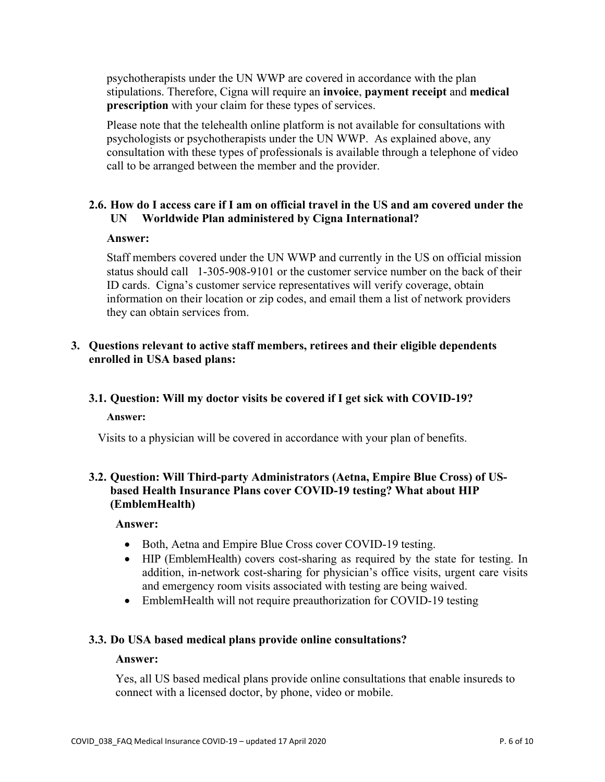psychotherapists under the UN WWP are covered in accordance with the plan stipulations. Therefore, Cigna will require an **invoice**, **payment receipt** and **medical prescription** with your claim for these types of services.

Please note that the telehealth online platform is not available for consultations with psychologists or psychotherapists under the UN WWP. As explained above, any consultation with these types of professionals is available through a telephone of video call to be arranged between the member and the provider.

# **2.6. How do I access care if I am on official travel in the US and am covered under the UN Worldwide Plan administered by Cigna International?**

#### **Answer:**

Staff members covered under the UN WWP and currently in the US on official mission status should call 1-305-908-9101 or the customer service number on the back of their ID cards. Cigna's customer service representatives will verify coverage, obtain information on their location or zip codes, and email them a list of network providers they can obtain services from.

### **3. Questions relevant to active staff members, retirees and their eligible dependents enrolled in USA based plans:**

### **3.1. Question: Will my doctor visits be covered if I get sick with COVID-19?**

#### **Answer:**

Visits to a physician will be covered in accordance with your plan of benefits.

# **3.2. Question: Will Third-party Administrators (Aetna, Empire Blue Cross) of USbased Health Insurance Plans cover COVID-19 testing? What about HIP (EmblemHealth)**

#### **Answer:**

- Both, Aetna and Empire Blue Cross cover COVID-19 testing.
- HIP (EmblemHealth) covers cost-sharing as required by the state for testing. In addition, in-network cost-sharing for physician's office visits, urgent care visits and emergency room visits associated with testing are being waived.
- EmblemHealth will not require preauthorization for COVID-19 testing

#### **3.3. Do USA based medical plans provide online consultations?**

#### **Answer:**

Yes, all US based medical plans provide online consultations that enable insureds to connect with a licensed doctor, by phone, video or mobile.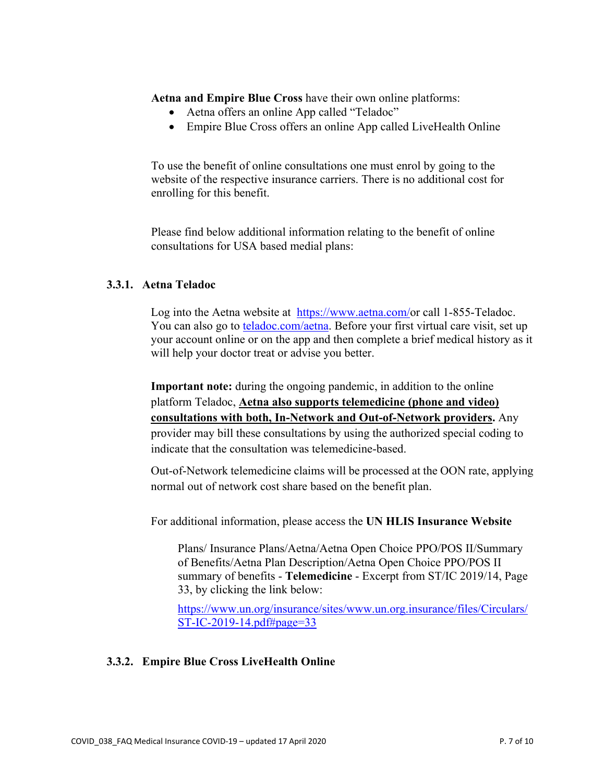**Aetna and Empire Blue Cross** have their own online platforms:

- Aetna offers an online App called "Teladoc"
- Empire Blue Cross offers an online App called LiveHealth Online

To use the benefit of online consultations one must enrol by going to the website of the respective insurance carriers. There is no additional cost for enrolling for this benefit.

Please find below additional information relating to the benefit of online consultations for USA based medial plans:

# **3.3.1. Aetna Teladoc**

Log into the Aetna website at [https://www.aetna.com/o](https://www.aetna.com/)r call 1-855-Teladoc. You can also go to [teladoc.com/aetna.](https://member.teladoc.com/aetna) Before your first virtual care visit, set up your account online or on the app and then complete a brief medical history as it will help your doctor treat or advise you better.

**Important note:** during the ongoing pandemic, in addition to the online platform Teladoc, **Aetna also supports telemedicine (phone and video) consultations with both, In-Network and Out-of-Network providers.** Any provider may bill these consultations by using the authorized special coding to indicate that the consultation was telemedicine-based.

Out-of-Network telemedicine claims will be processed at the OON rate, applying normal out of network cost share based on the benefit plan.

For additional information, please access the **UN HLIS Insurance Website**

Plans/ Insurance Plans/Aetna/Aetna Open Choice PPO/POS II/Summary of Benefits/Aetna Plan Description/Aetna Open Choice PPO/POS II summary of benefits - **Telemedicine** - Excerpt from ST/IC 2019/14, Page 33, by clicking the link below:

[https://www.un.org/insurance/sites/www.un.org.insurance/files/Circulars/](https://www.un.org/insurance/sites/www.un.org.insurance/files/Circulars/ST-IC-2019-14.pdf#page=33) [ST-IC-2019-14.pdf#page=33](https://www.un.org/insurance/sites/www.un.org.insurance/files/Circulars/ST-IC-2019-14.pdf#page=33)

# **3.3.2. Empire Blue Cross LiveHealth Online**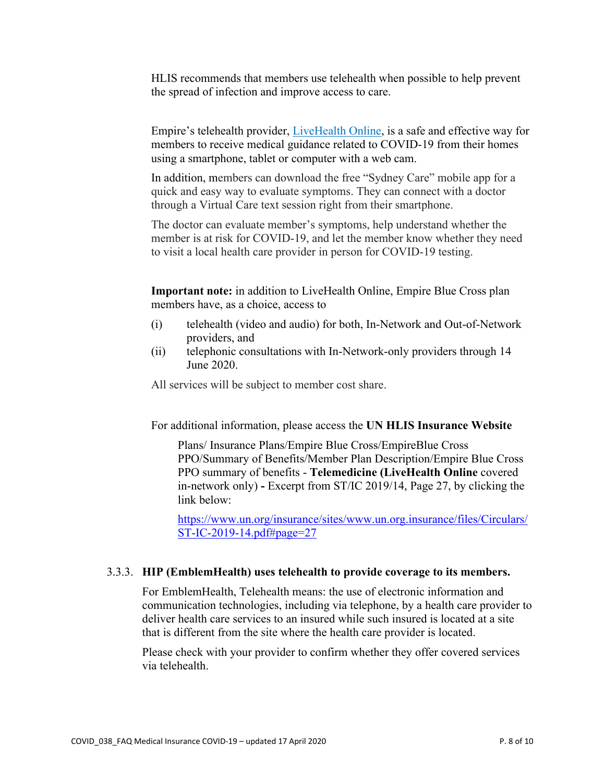HLIS recommends that members use telehealth when possible to help prevent the spread of infection and improve access to care.

Empire's telehealth provider, [LiveHealth Online,](http://www.livehealthonline.com/) is a safe and effective way for members to receive medical guidance related to COVID-19 from their homes using a smartphone, tablet or computer with a web cam.

In addition, members can download the free "Sydney Care" mobile app for a quick and easy way to evaluate symptoms. They can connect with a doctor through a Virtual Care text session right from their smartphone.

The doctor can evaluate member's symptoms, help understand whether the member is at risk for COVID-19, and let the member know whether they need to visit a local health care provider in person for COVID-19 testing.

**Important note:** in addition to LiveHealth Online, Empire Blue Cross plan members have, as a choice, access to

- (i) telehealth (video and audio) for both, In-Network and Out-of-Network providers, and
- (ii) telephonic consultations with In-Network-only providers through 14 June 2020.

All services will be subject to member cost share.

For additional information, please access the **UN HLIS Insurance Website**

Plans/ Insurance Plans/Empire Blue Cross/EmpireBlue Cross PPO/Summary of Benefits/Member Plan Description/Empire Blue Cross PPO summary of benefits - **Telemedicine (LiveHealth Online** covered in-network only) **-** Excerpt from ST/IC 2019/14, Page 27, by clicking the link below:

[https://www.un.org/insurance/sites/www.un.org.insurance/files/Circulars/](https://www.un.org/insurance/sites/www.un.org.insurance/files/Circulars/ST-IC-2019-14.pdf#page=27) [ST-IC-2019-14.pdf#page=27](https://www.un.org/insurance/sites/www.un.org.insurance/files/Circulars/ST-IC-2019-14.pdf#page=27)

#### 3.3.3. **HIP (EmblemHealth) uses telehealth to provide coverage to its members.**

For EmblemHealth, Telehealth means: the use of electronic information and communication technologies, including via telephone, by a health care provider to deliver health care services to an insured while such insured is located at a site that is different from the site where the health care provider is located.

Please check with your provider to confirm whether they offer covered services via telehealth.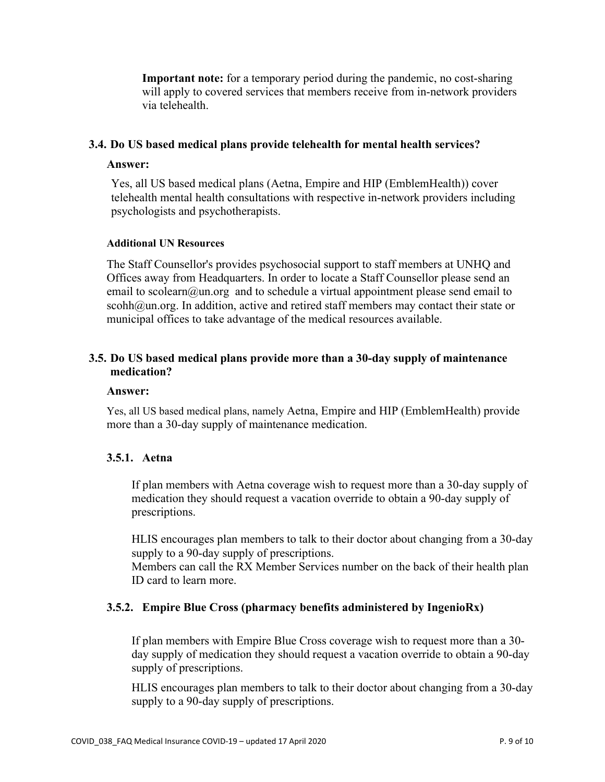**Important note:** for a temporary period during the pandemic, no cost-sharing will apply to covered services that members receive from in-network providers via telehealth.

### **3.4. Do US based medical plans provide telehealth for mental health services?**

#### **Answer:**

Yes, all US based medical plans (Aetna, Empire and HIP (EmblemHealth)) cover telehealth mental health consultations with respective in-network providers including psychologists and psychotherapists.

### **Additional UN Resources**

The Staff Counsellor's provides psychosocial support to staff members at UNHQ and Offices away from Headquarters. In order to locate a Staff Counsellor please send an email to scolearn@un.org and to schedule a virtual appointment please send email to scohh@un.org. In addition, active and retired staff members may contact their state or municipal offices to take advantage of the medical resources available.

# **3.5. Do US based medical plans provide more than a 30-day supply of maintenance medication?**

#### **Answer:**

Yes, all US based medical plans, namely Aetna, Empire and HIP (EmblemHealth) provide more than a 30-day supply of maintenance medication.

# **3.5.1. Aetna**

If plan members with Aetna coverage wish to request more than a 30-day supply of medication they should request a vacation override to obtain a 90-day supply of prescriptions.

HLIS encourages plan members to talk to their doctor about changing from a 30-day supply to a 90-day supply of prescriptions.

Members can call the RX Member Services number on the back of their health plan ID card to learn more.

# **3.5.2. Empire Blue Cross (pharmacy benefits administered by IngenioRx)**

If plan members with Empire Blue Cross coverage wish to request more than a 30 day supply of medication they should request a vacation override to obtain a 90-day supply of prescriptions.

HLIS encourages plan members to talk to their doctor about changing from a 30-day supply to a 90-day supply of prescriptions.